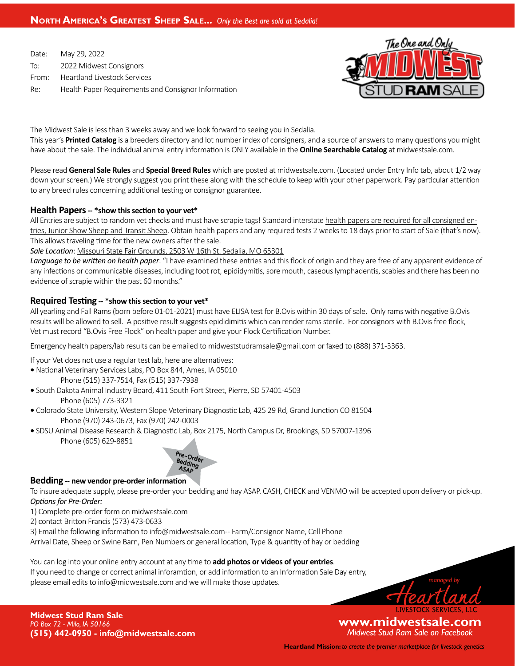# **North America's Greatest Sheep Sale...** *Only the Best are sold at Sedalia!*

Date: May 29, 2022 To: 2022 Midwest Consignors From: Heartland Livestock Services Re: Health Paper Requirements and Consignor Information



The Midwest Sale is less than 3 weeks away and we look forward to seeing you in Sedalia. This year's **Printed Catalog** is a breeders directory and lot number index of consigners, and a source of answersto many questions you might have about the sale. The individual animal entry information is ONLY available in the **Online Searchable Catalog** at midwestsale.com.

Please read **General Sale Rules** and **Special Breed Rules** which are posted at midwestsale.com. (Located under Entry Info tab, about 1/2 way down your screen.) We strongly suggest you print these along with the schedule to keep with your other paperwork. Pay particular attention to any breed rules concerning additional testing or consignor guarantee.

#### **Health Papers -- \*show this section to your vet\***

All Entries are subject to random vet checks and must have scrapie tags! Standard interstate health papers are required for all consigned entries, Junior Show Sheep and Transit Sheep. Obtain health papers and any required tests 2 weeks to 18 days prior to start of Sale (that's now). This allows traveling time for the new owners after the sale.

#### *Sale Location*: Missouri State Fair Grounds, 2503 W 16th St. Sedalia, MO 65301

*Language to be written on health paper*: "I have examined these entries and this flock of origin and they are free of any apparent evidence of any infections or communicable diseases, including foot rot, epididymitis, sore mouth, caseous lymphadentis, scabies and there has been no evidence of scrapie within the past 60 months."

## **Required Testing -- \*show this section to your vet\***

All yearling and Fall Rams (born before 01-01-2021) must have ELISA test for B.Ovis within 30 days of sale. Only rams with negative B.Ovis results will be allowed to sell. A positive result suggests epididimitis which can render rams sterile. For consignors with B.Ovis free flock, Vet must record "B.Ovis Free Flock" on health paper and give your Flock Certification Number.

Emergency health papers/lab results can be emailed to midweststudramsale@gmail.com or faxed to (888) 371-3363.

If your Vet does not use a regular test lab, here are alternatives:

**•** National Veterinary Services Labs, PO Box 844, Ames, IA 05010

 Phone (515) 337-7514, Fax (515) 337-7938

- South Dakota Animal Industry Board, 411 South Fort Street, Pierre, SD 57401-4503 Phone (605) 773-3321
- Colorado State University, Western Slope Veterinary Diagnostic Lab, 425 29 Rd, Grand Junction CO 81504 Phone (970) 243-0673, Fax (970) 242-0003
- SDSU Animal Disease Research & Diagnostic Lab, Box 2175, North Campus Dr, Brookings, SD 57007-1396 Phone (605) 629-8851



#### **Bedding -- new vendor pre-order information**

To insure adequate supply, please pre-order your bedding and hay ASAP. CASH, CHECK and VENMO will be accepted upon delivery or pick-up. *Options for Pre-Order:*

- 1) Complete pre-order form on midwestsale.com
- 2) contact Britton Francis(573) 473-0633

3) Email the following information to info@midwestsale.com-- Farm/Consignor Name, Cell Phone

Arrival Date, Sheep or Swine Barn, Pen Numbers or general location, Type & quantity of hay or bedding

You can log into your online entry account at any time to **add photos or videos of your entries**. If you need to change or correct animal inforamtion, or add information to an Information Sale Day entry, please email edits to info@midwestsale.com and we will make those updates.



**Midwest Stud Ram Sale** *PO Box 72 - Milo, IA 50166* **(515) 442-0950 - info@midwestsale.com**

**www.midwestsale.com** *Midwest Stud Ram Sale on Facebook*

**Heartland Mission:** *to create the premier marketplace for livestock genetics*